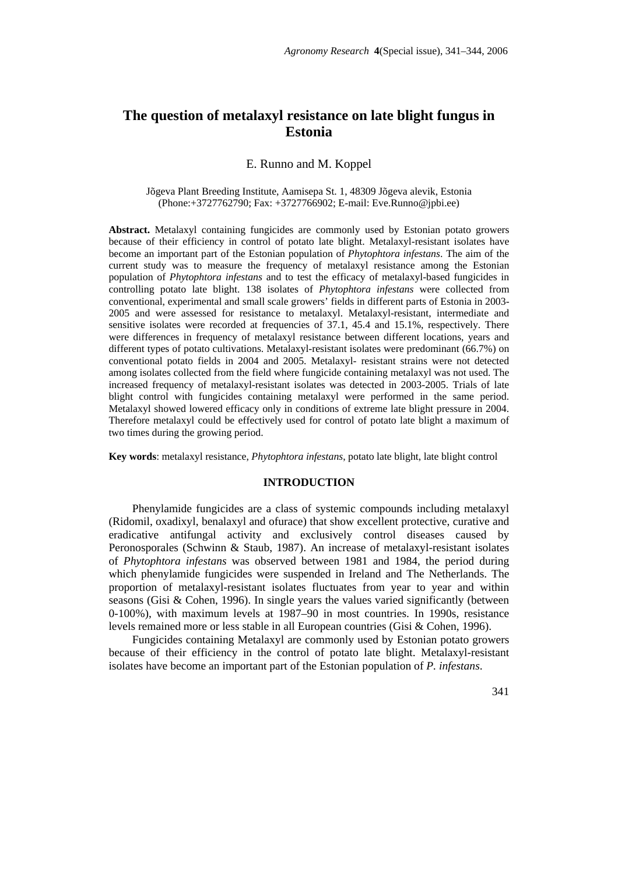# **The question of metalaxyl resistance on late blight fungus in Estonia**

# E. Runno and M. Koppel

#### Jõgeva Plant Breeding Institute, Aamisepa St. 1, 48309 Jõgeva alevik, Estonia (Phone:+3727762790; Fax: +3727766902; E-mail: Eve.Runno@jpbi.ee)

**Abstract.** Metalaxyl containing fungicides are commonly used by Estonian potato growers because of their efficiency in control of potato late blight. Metalaxyl-resistant isolates have become an important part of the Estonian population of *Phytophtora infestans*. The aim of the current study was to measure the frequency of metalaxyl resistance among the Estonian population of *Phytophtora infestans* and to test the efficacy of metalaxyl-based fungicides in controlling potato late blight. 138 isolates of *Phytophtora infestans* were collected from conventional, experimental and small scale growers' fields in different parts of Estonia in 2003- 2005 and were assessed for resistance to metalaxyl. Metalaxyl-resistant, intermediate and sensitive isolates were recorded at frequencies of 37.1, 45.4 and 15.1%, respectively. There were differences in frequency of metalaxyl resistance between different locations, years and different types of potato cultivations. Metalaxyl-resistant isolates were predominant (66.7%) on conventional potato fields in 2004 and 2005. Metalaxyl- resistant strains were not detected among isolates collected from the field where fungicide containing metalaxyl was not used. The increased frequency of metalaxyl-resistant isolates was detected in 2003-2005. Trials of late blight control with fungicides containing metalaxyl were performed in the same period. Metalaxyl showed lowered efficacy only in conditions of extreme late blight pressure in 2004. Therefore metalaxyl could be effectively used for control of potato late blight a maximum of two times during the growing period.

**Key words**: metalaxyl resistance, *Phytophtora infestans*, potato late blight, late blight control

# **INTRODUCTION**

Phenylamide fungicides are a class of systemic compounds including metalaxyl (Ridomil, oxadixyl, benalaxyl and ofurace) that show excellent protective, curative and eradicative antifungal activity and exclusively control diseases caused by Peronosporales (Schwinn & Staub, 1987). An increase of metalaxyl-resistant isolates of *Phytophtora infestans* was observed between 1981 and 1984, the period during which phenylamide fungicides were suspended in Ireland and The Netherlands. The proportion of metalaxyl-resistant isolates fluctuates from year to year and within seasons (Gisi & Cohen, 1996). In single years the values varied significantly (between 0-100%), with maximum levels at 1987–90 in most countries. In 1990s, resistance levels remained more or less stable in all European countries (Gisi & Cohen, 1996).

Fungicides containing Metalaxyl are commonly used by Estonian potato growers because of their efficiency in the control of potato late blight. Metalaxyl-resistant isolates have become an important part of the Estonian population of *P. infestans*.

341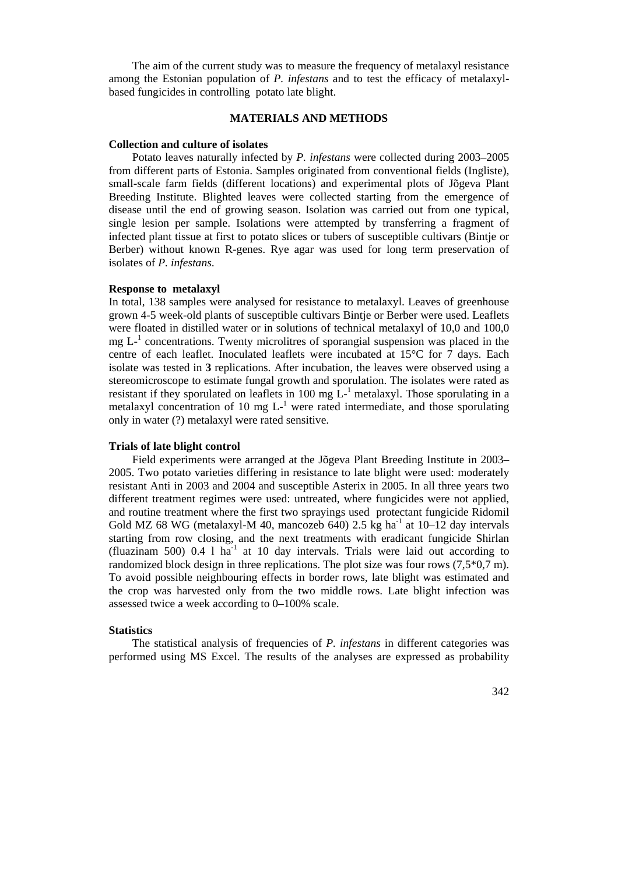The aim of the current study was to measure the frequency of metalaxyl resistance among the Estonian population of *P. infestans* and to test the efficacy of metalaxylbased fungicides in controlling potato late blight.

# **MATERIALS AND METHODS**

#### **Collection and culture of isolates**

Potato leaves naturally infected by *P. infestans* were collected during 2003–2005 from different parts of Estonia. Samples originated from conventional fields (Ingliste), small-scale farm fields (different locations) and experimental plots of Jõgeva Plant Breeding Institute. Blighted leaves were collected starting from the emergence of disease until the end of growing season. Isolation was carried out from one typical, single lesion per sample. Isolations were attempted by transferring a fragment of infected plant tissue at first to potato slices or tubers of susceptible cultivars (Bintje or Berber) without known R-genes. Rye agar was used for long term preservation of isolates of *P. infestans*.

## **Response to metalaxyl**

In total, 138 samples were analysed for resistance to metalaxyl. Leaves of greenhouse grown 4-5 week-old plants of susceptible cultivars Bintje or Berber were used. Leaflets were floated in distilled water or in solutions of technical metalaxyl of 10,0 and 100,0  $mg L<sup>-1</sup>$  concentrations. Twenty microlitres of sporangial suspension was placed in the centre of each leaflet. Inoculated leaflets were incubated at 15°C for 7 days. Each isolate was tested in **3** replications. After incubation, the leaves were observed using a stereomicroscope to estimate fungal growth and sporulation. The isolates were rated as resistant if they sporulated on leaflets in 100 mg  $\tilde{L}^{-1}$  metalaxyl. Those sporulating in a metalaxyl concentration of 10 mg  $L^{-1}$  were rated intermediate, and those sporulating only in water (?) metalaxyl were rated sensitive.

#### **Trials of late blight control**

Field experiments were arranged at the Jõgeva Plant Breeding Institute in 2003– 2005. Two potato varieties differing in resistance to late blight were used: moderately resistant Anti in 2003 and 2004 and susceptible Asterix in 2005. In all three years two different treatment regimes were used: untreated, where fungicides were not applied, and routine treatment where the first two sprayings used protectant fungicide Ridomil Gold MZ 68 WG (metalaxyl-M 40, mancozeb 640) 2.5 kg ha<sup>-1</sup> at  $10-12$  day intervals starting from row closing, and the next treatments with eradicant fungicide Shirlan (fluazinam 500)  $0.4 \, 1 \, \text{ha}^1$  at 10 day intervals. Trials were laid out according to randomized block design in three replications. The plot size was four rows (7,5\*0,7 m). To avoid possible neighbouring effects in border rows, late blight was estimated and the crop was harvested only from the two middle rows. Late blight infection was assessed twice a week according to 0–100% scale.

## **Statistics**

The statistical analysis of frequencies of *P. infestans* in different categories was performed using MS Excel. The results of the analyses are expressed as probability

342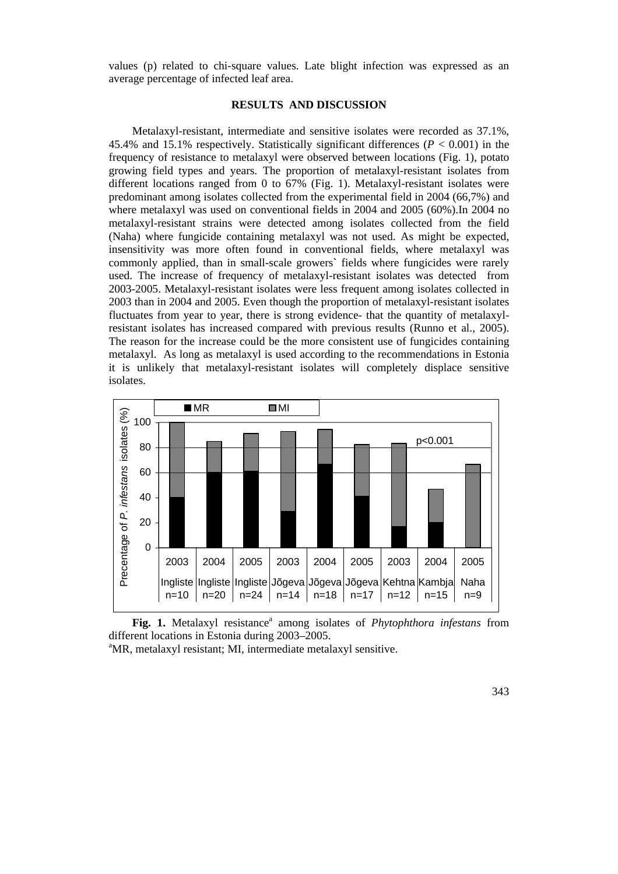values (p) related to chi-square values. Late blight infection was expressed as an average percentage of infected leaf area.

## **RESULTS AND DISCUSSION**

Metalaxyl-resistant, intermediate and sensitive isolates were recorded as 37.1%, 45.4% and 15.1% respectively. Statistically significant differences  $(P < 0.001)$  in the frequency of resistance to metalaxyl were observed between locations (Fig. 1), potato growing field types and years. The proportion of metalaxyl-resistant isolates from different locations ranged from 0 to 67% (Fig. 1). Metalaxyl-resistant isolates were predominant among isolates collected from the experimental field in 2004 (66,7%) and where metalaxyl was used on conventional fields in 2004 and 2005 (60%).In 2004 no metalaxyl-resistant strains were detected among isolates collected from the field (Naha) where fungicide containing metalaxyl was not used. As might be expected, insensitivity was more often found in conventional fields, where metalaxyl was commonly applied, than in small-scale growers**`** fields where fungicides were rarely used. The increase of frequency of metalaxyl-resistant isolates was detected from 2003-2005. Metalaxyl-resistant isolates were less frequent among isolates collected in 2003 than in 2004 and 2005. Even though the proportion of metalaxyl-resistant isolates fluctuates from year to year, there is strong evidence- that the quantity of metalaxylresistant isolates has increased compared with previous results (Runno et al., 2005). The reason for the increase could be the more consistent use of fungicides containing metalaxyl. As long as metalaxyl is used according to the recommendations in Estonia it is unlikely that metalaxyl-resistant isolates will completely displace sensitive isolates.



Fig. 1. Metalaxyl resistance<sup>a</sup> among isolates of *Phytophthora infestans* from different locations in Estonia during 2003–2005.

<sup>a</sup>MR, metalaxyl resistant; MI, intermediate metalaxyl sensitive.

343